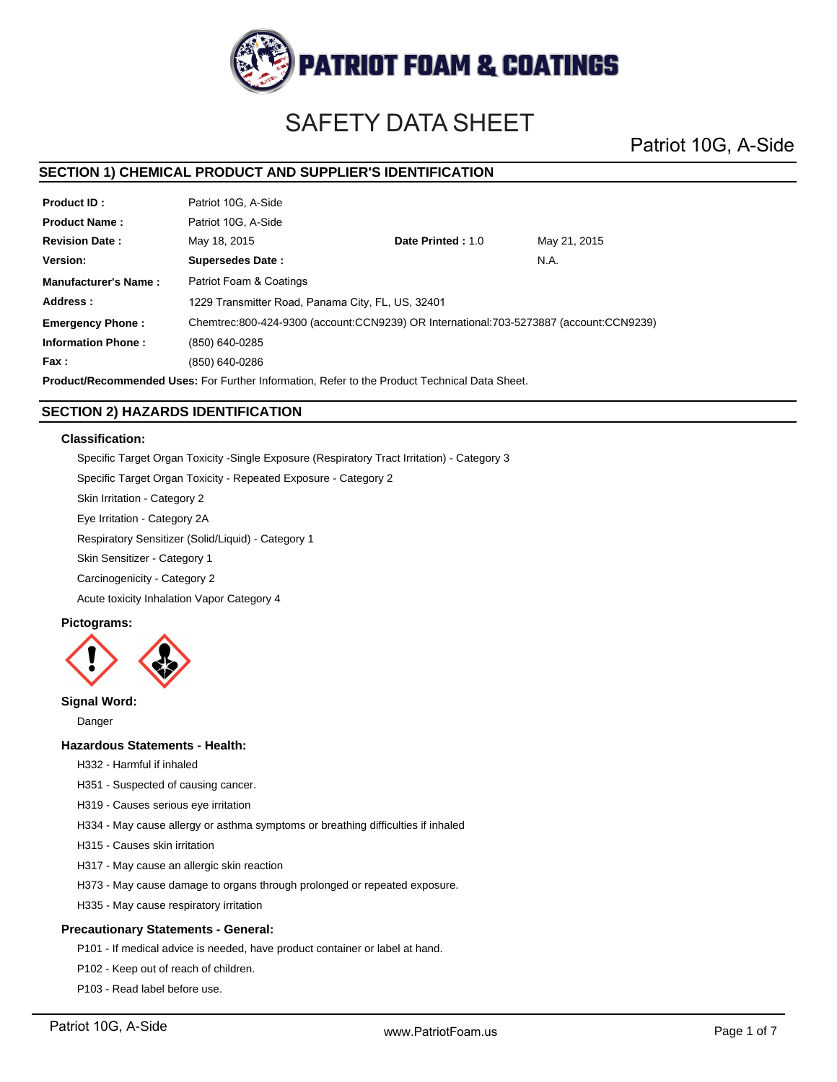

# SAFETY DATA SHEET

Patriot 10G, A-Side

# **SECTION 1) CHEMICAL PRODUCT AND SUPPLIER'S IDENTIFICATION**

| <b>Product ID:</b>        | Patriot 10G. A-Side                                                                    |                   |              |  |
|---------------------------|----------------------------------------------------------------------------------------|-------------------|--------------|--|
| <b>Product Name:</b>      | Patriot 10G. A-Side                                                                    |                   |              |  |
| <b>Revision Date:</b>     | May 18, 2015                                                                           | Date Printed: 1.0 | May 21, 2015 |  |
| Version:                  | <b>Supersedes Date:</b>                                                                |                   | N.A.         |  |
| Manufacturer's Name:      | Patriot Foam & Coatings                                                                |                   |              |  |
| Address:                  | 1229 Transmitter Road, Panama City, FL, US, 32401                                      |                   |              |  |
| <b>Emergency Phone:</b>   | Chemtrec:800-424-9300 (account:CCN9239) OR International:703-5273887 (account:CCN9239) |                   |              |  |
| <b>Information Phone:</b> | (850) 640-0285                                                                         |                   |              |  |
| Fax :                     | (850) 640-0286                                                                         |                   |              |  |
|                           |                                                                                        |                   |              |  |

**Product/Recommended Uses:** For Further Information, Refer to the Product Technical Data Sheet.

# **SECTION 2) HAZARDS IDENTIFICATION**

### **Classification:**

Specific Target Organ Toxicity -Single Exposure (Respiratory Tract Irritation) - Category 3

Specific Target Organ Toxicity - Repeated Exposure - Category 2

Skin Irritation - Category 2

Eye Irritation - Category 2A

Respiratory Sensitizer (Solid/Liquid) - Category 1

Skin Sensitizer - Category 1

Carcinogenicity - Category 2

Acute toxicity Inhalation Vapor Category 4

# **Pictograms:**



# **Signal Word:**

Danger

### **Hazardous Statements - Health:**

H332 - Harmful if inhaled

- H351 Suspected of causing cancer.
- H319 Causes serious eye irritation

H334 - May cause allergy or asthma symptoms or breathing difficulties if inhaled

- H315 Causes skin irritation
- H317 May cause an allergic skin reaction
- H373 May cause damage to organs through prolonged or repeated exposure.
- H335 May cause respiratory irritation

# **Precautionary Statements - General:**

P101 - If medical advice is needed, have product container or label at hand.

- P102 Keep out of reach of children.
- P103 Read label before use.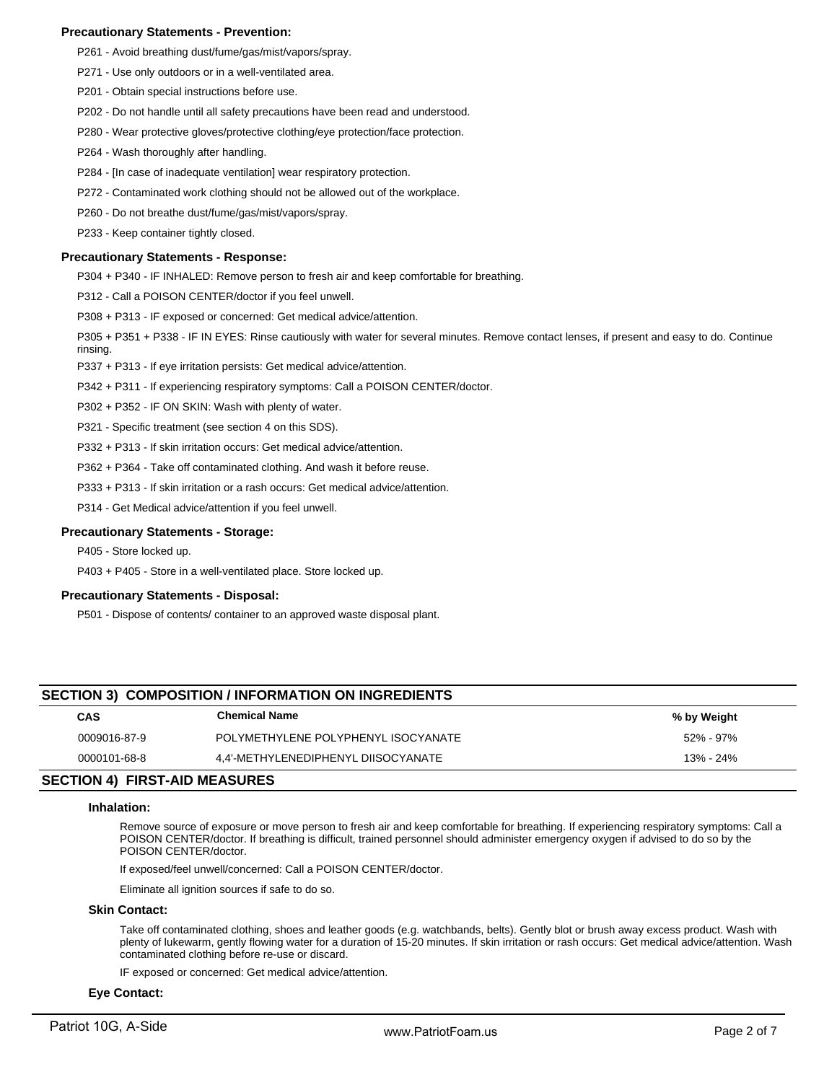# **Precautionary Statements - Prevention:**

- P261 Avoid breathing dust/fume/gas/mist/vapors/spray.
- P271 Use only outdoors or in a well-ventilated area.
- P201 Obtain special instructions before use.
- P202 Do not handle until all safety precautions have been read and understood.
- P280 Wear protective gloves/protective clothing/eye protection/face protection.
- P264 Wash thoroughly after handling.
- P284 [In case of inadequate ventilation] wear respiratory protection.
- P272 Contaminated work clothing should not be allowed out of the workplace.
- P260 Do not breathe dust/fume/gas/mist/vapors/spray.
- P233 Keep container tightly closed.

### **Precautionary Statements - Response:**

P304 + P340 - IF INHALED: Remove person to fresh air and keep comfortable for breathing.

P312 - Call a POISON CENTER/doctor if you feel unwell.

P308 + P313 - IF exposed or concerned: Get medical advice/attention.

P305 + P351 + P338 - IF IN EYES: Rinse cautiously with water for several minutes. Remove contact lenses, if present and easy to do. Continue rinsing.

P337 + P313 - If eye irritation persists: Get medical advice/attention.

P342 + P311 - If experiencing respiratory symptoms: Call a POISON CENTER/doctor.

P302 + P352 - IF ON SKIN: Wash with plenty of water.

P321 - Specific treatment (see section 4 on this SDS).

P332 + P313 - If skin irritation occurs: Get medical advice/attention.

P362 + P364 - Take off contaminated clothing. And wash it before reuse.

P333 + P313 - If skin irritation or a rash occurs: Get medical advice/attention.

P314 - Get Medical advice/attention if you feel unwell.

### **Precautionary Statements - Storage:**

P405 - Store locked up.

P403 + P405 - Store in a well-ventilated place. Store locked up.

# **Precautionary Statements - Disposal:**

P501 - Dispose of contents/ container to an approved waste disposal plant.

# **SECTION 3) COMPOSITION / INFORMATION ON INGREDIENTS**

| <b>CAS</b>   | <b>Chemical Name</b>                | % by Weight |
|--------------|-------------------------------------|-------------|
| 0009016-87-9 | POLYMETHYLENE POLYPHENYL ISOCYANATE | 52% - 97%   |
| 0000101-68-8 | 4.4'-METHYLENEDIPHENYL DIISOCYANATE | 13% - 24%   |

# **SECTION 4) FIRST-AID MEASURES**

### **Inhalation:**

Remove source of exposure or move person to fresh air and keep comfortable for breathing. If experiencing respiratory symptoms: Call a POISON CENTER/doctor. If breathing is difficult, trained personnel should administer emergency oxygen if advised to do so by the POISON CENTER/doctor.

If exposed/feel unwell/concerned: Call a POISON CENTER/doctor.

Eliminate all ignition sources if safe to do so.

### **Skin Contact:**

Take off contaminated clothing, shoes and leather goods (e.g. watchbands, belts). Gently blot or brush away excess product. Wash with plenty of lukewarm, gently flowing water for a duration of 15-20 minutes. If skin irritation or rash occurs: Get medical advice/attention. Wash contaminated clothing before re-use or discard.

IF exposed or concerned: Get medical advice/attention.

# **Eye Contact:**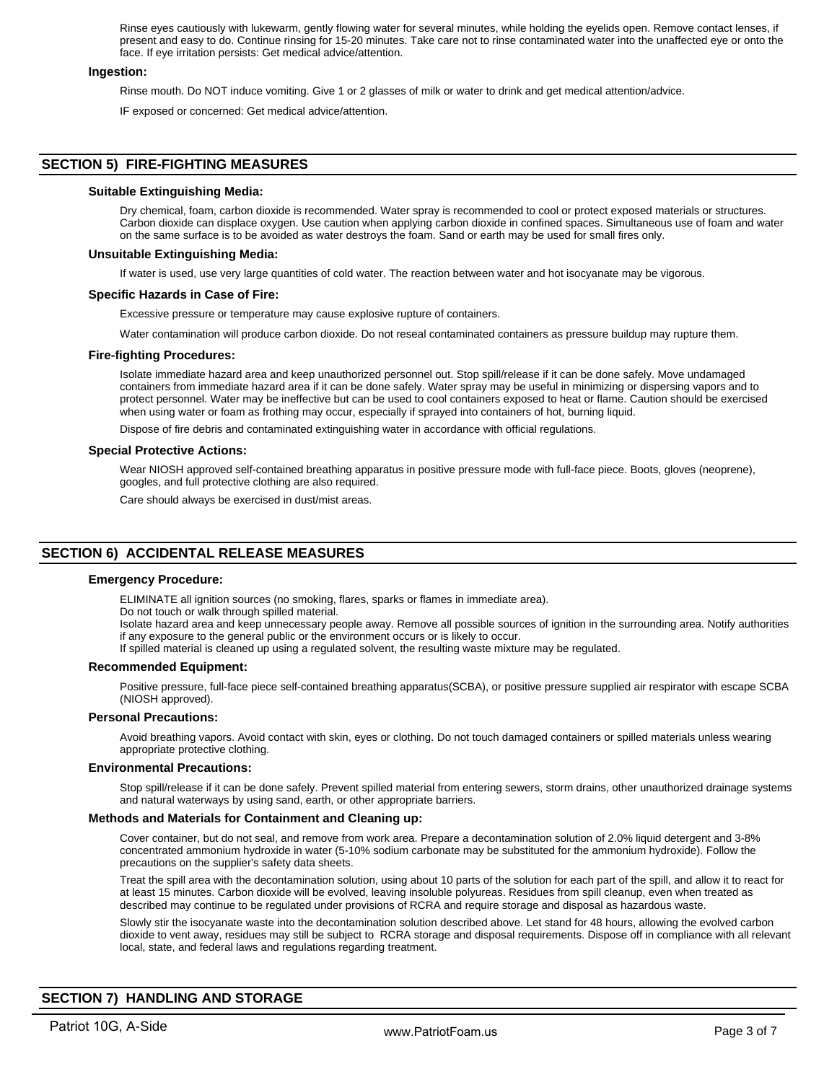Rinse eyes cautiously with lukewarm, gently flowing water for several minutes, while holding the eyelids open. Remove contact lenses, if present and easy to do. Continue rinsing for 15-20 minutes. Take care not to rinse contaminated water into the unaffected eye or onto the face. If eye irritation persists: Get medical advice/attention.

### **Ingestion:**

Rinse mouth. Do NOT induce vomiting. Give 1 or 2 glasses of milk or water to drink and get medical attention/advice.

IF exposed or concerned: Get medical advice/attention.

# **SECTION 5) FIRE-FIGHTING MEASURES**

### **Suitable Extinguishing Media:**

Dry chemical, foam, carbon dioxide is recommended. Water spray is recommended to cool or protect exposed materials or structures. Carbon dioxide can displace oxygen. Use caution when applying carbon dioxide in confined spaces. Simultaneous use of foam and water on the same surface is to be avoided as water destroys the foam. Sand or earth may be used for small fires only.

### **Unsuitable Extinguishing Media:**

If water is used, use very large quantities of cold water. The reaction between water and hot isocyanate may be vigorous.

### **Specific Hazards in Case of Fire:**

Excessive pressure or temperature may cause explosive rupture of containers.

Water contamination will produce carbon dioxide. Do not reseal contaminated containers as pressure buildup may rupture them.

### **Fire-fighting Procedures:**

Isolate immediate hazard area and keep unauthorized personnel out. Stop spill/release if it can be done safely. Move undamaged containers from immediate hazard area if it can be done safely. Water spray may be useful in minimizing or dispersing vapors and to protect personnel. Water may be ineffective but can be used to cool containers exposed to heat or flame. Caution should be exercised when using water or foam as frothing may occur, especially if sprayed into containers of hot, burning liquid.

Dispose of fire debris and contaminated extinguishing water in accordance with official regulations.

### **Special Protective Actions:**

Wear NIOSH approved self-contained breathing apparatus in positive pressure mode with full-face piece. Boots, gloves (neoprene), googles, and full protective clothing are also required.

Care should always be exercised in dust/mist areas.

# **SECTION 6) ACCIDENTAL RELEASE MEASURES**

### **Emergency Procedure:**

ELIMINATE all ignition sources (no smoking, flares, sparks or flames in immediate area).

Do not touch or walk through spilled material.

Isolate hazard area and keep unnecessary people away. Remove all possible sources of ignition in the surrounding area. Notify authorities if any exposure to the general public or the environment occurs or is likely to occur.

If spilled material is cleaned up using a regulated solvent, the resulting waste mixture may be regulated.

### **Recommended Equipment:**

Positive pressure, full-face piece self-contained breathing apparatus(SCBA), or positive pressure supplied air respirator with escape SCBA (NIOSH approved).

# **Personal Precautions:**

Avoid breathing vapors. Avoid contact with skin, eyes or clothing. Do not touch damaged containers or spilled materials unless wearing appropriate protective clothing.

### **Environmental Precautions:**

Stop spill/release if it can be done safely. Prevent spilled material from entering sewers, storm drains, other unauthorized drainage systems and natural waterways by using sand, earth, or other appropriate barriers.

### **Methods and Materials for Containment and Cleaning up:**

Cover container, but do not seal, and remove from work area. Prepare a decontamination solution of 2.0% liquid detergent and 3-8% concentrated ammonium hydroxide in water (5-10% sodium carbonate may be substituted for the ammonium hydroxide). Follow the precautions on the supplier's safety data sheets.

Treat the spill area with the decontamination solution, using about 10 parts of the solution for each part of the spill, and allow it to react for at least 15 minutes. Carbon dioxide will be evolved, leaving insoluble polyureas. Residues from spill cleanup, even when treated as described may continue to be regulated under provisions of RCRA and require storage and disposal as hazardous waste.

Slowly stir the isocyanate waste into the decontamination solution described above. Let stand for 48 hours, allowing the evolved carbon dioxide to vent away, residues may still be subject to RCRA storage and disposal requirements. Dispose off in compliance with all relevant local, state, and federal laws and regulations regarding treatment.

# **SECTION 7) HANDLING AND STORAGE**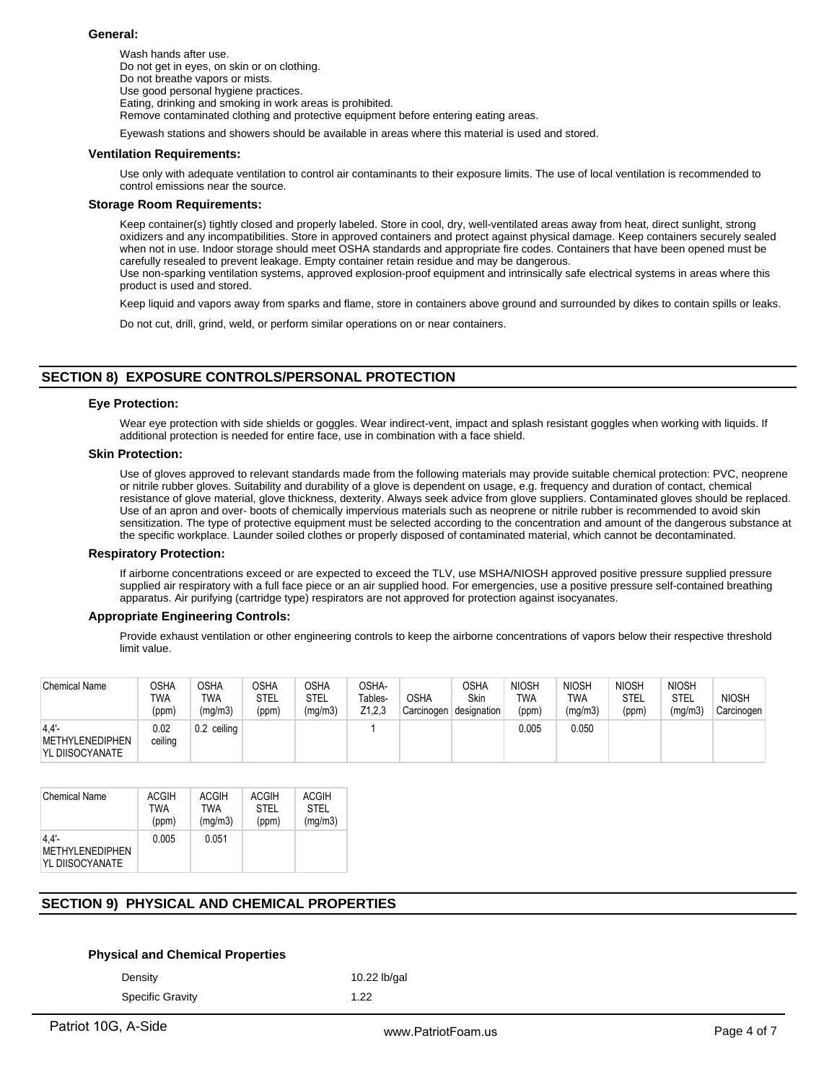### **General:**

Wash hands after use. Do not get in eyes, on skin or on clothing. Do not breathe vapors or mists. Use good personal hygiene practices. Eating, drinking and smoking in work areas is prohibited. Remove contaminated clothing and protective equipment before entering eating areas.

Eyewash stations and showers should be available in areas where this material is used and stored.

### **Ventilation Requirements:**

Use only with adequate ventilation to control air contaminants to their exposure limits. The use of local ventilation is recommended to control emissions near the source.

### **Storage Room Requirements:**

Keep container(s) tightly closed and properly labeled. Store in cool, dry, well-ventilated areas away from heat, direct sunlight, strong oxidizers and any incompatibilities. Store in approved containers and protect against physical damage. Keep containers securely sealed when not in use. Indoor storage should meet OSHA standards and appropriate fire codes. Containers that have been opened must be carefully resealed to prevent leakage. Empty container retain residue and may be dangerous. Use non-sparking ventilation systems, approved explosion-proof equipment and intrinsically safe electrical systems in areas where this product is used and stored.

Keep liquid and vapors away from sparks and flame, store in containers above ground and surrounded by dikes to contain spills or leaks.

Do not cut, drill, grind, weld, or perform similar operations on or near containers.

# **SECTION 8) EXPOSURE CONTROLS/PERSONAL PROTECTION**

### **Eye Protection:**

Wear eye protection with side shields or goggles. Wear indirect-vent, impact and splash resistant goggles when working with liquids. If additional protection is needed for entire face, use in combination with a face shield.

### **Skin Protection:**

Use of gloves approved to relevant standards made from the following materials may provide suitable chemical protection: PVC, neoprene or nitrile rubber gloves. Suitability and durability of a glove is dependent on usage, e.g. frequency and duration of contact, chemical resistance of glove material, glove thickness, dexterity. Always seek advice from glove suppliers. Contaminated gloves should be replaced. Use of an apron and over- boots of chemically impervious materials such as neoprene or nitrile rubber is recommended to avoid skin sensitization. The type of protective equipment must be selected according to the concentration and amount of the dangerous substance at the specific workplace. Launder soiled clothes or properly disposed of contaminated material, which cannot be decontaminated.

### **Respiratory Protection:**

If airborne concentrations exceed or are expected to exceed the TLV, use MSHA/NIOSH approved positive pressure supplied pressure supplied air respiratory with a full face piece or an air supplied hood. For emergencies, use a positive pressure self-contained breathing apparatus. Air purifying (cartridge type) respirators are not approved for protection against isocyanates.

# **Appropriate Engineering Controls:**

Provide exhaust ventilation or other engineering controls to keep the airborne concentrations of vapors below their respective threshold limit value.

| <b>Chemical Name</b>                              | OSHA<br><b>TWA</b><br>(ppm) | <b>OSHA</b><br><b>TWA</b><br>(mg/m3) | <b>OSHA</b><br><b>STEL</b><br>(ppm) | OSHA<br>STEL<br>(mg/m3) | OSHA-<br>Tables-<br>Z1,2,3 | <b>OSHA</b><br>Carcinogen | <b>OSHA</b><br><b>Skin</b><br>designation | <b>NIOSH</b><br>TWA<br>(ppm) | <b>NIOSH</b><br><b>TWA</b><br>(mg/m3) | <b>NIOSH</b><br><b>STEL</b><br>(ppm) | <b>NIOSH</b><br>STEL<br>(mg/m3) | <b>NIOSH</b><br>Carcinogen |
|---------------------------------------------------|-----------------------------|--------------------------------------|-------------------------------------|-------------------------|----------------------------|---------------------------|-------------------------------------------|------------------------------|---------------------------------------|--------------------------------------|---------------------------------|----------------------------|
| 4.4'<br><b>METHYLENEDIPHEN</b><br>YL DIISOCYANATE | 0.02<br>ceiling             | 0.2 ceiling                          |                                     |                         |                            |                           |                                           | 0.005                        | 0.050                                 |                                      |                                 |                            |

| <b>Chemical Name</b>                              | <b>ACGIH</b> | ACGIH   | <b>ACGIH</b> | <b>ACGIH</b> |
|---------------------------------------------------|--------------|---------|--------------|--------------|
|                                                   | TWA          | TWA     | <b>STEL</b>  | <b>STEL</b>  |
|                                                   | (ppm)        | (mg/m3) | (ppm)        | (mg/m3)      |
| 4.4'<br><b>METHYLENEDIPHEN</b><br>YL DIISOCYANATE | 0.005        | 0.051   |              |              |

# **SECTION 9) PHYSICAL AND CHEMICAL PROPERTIES**

# **Physical and Chemical Properties**

Density 10.22 lb/gal

Specific Gravity 1.22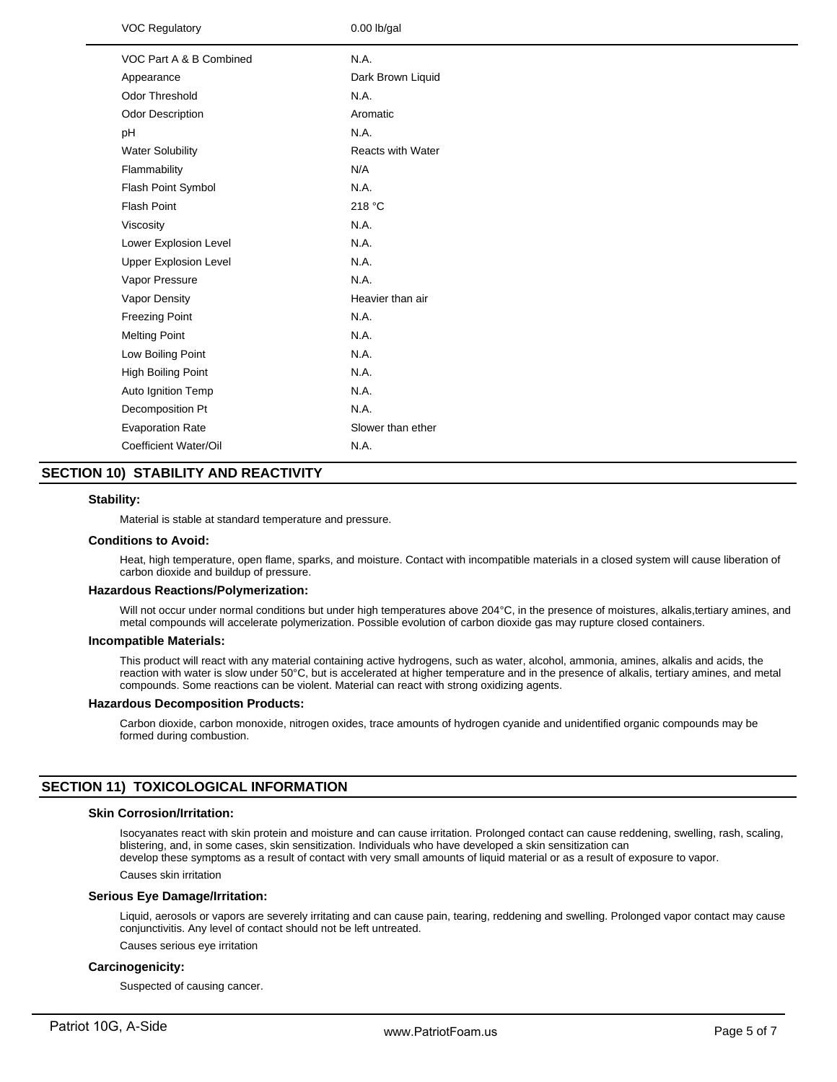| <b>VOC Regulatory</b>        | $0.00$ lb/gal            |
|------------------------------|--------------------------|
| VOC Part A & B Combined      | N.A.                     |
| Appearance                   | Dark Brown Liquid        |
| Odor Threshold               | N.A.                     |
| Odor Description             | Aromatic                 |
| pH                           | N.A.                     |
| <b>Water Solubility</b>      | <b>Reacts with Water</b> |
| Flammability                 | N/A                      |
| Flash Point Symbol           | N.A.                     |
| <b>Flash Point</b>           | 218 °C                   |
| Viscosity                    | N.A.                     |
| Lower Explosion Level        | N.A.                     |
| <b>Upper Explosion Level</b> | N.A.                     |
| Vapor Pressure               | N.A.                     |
| Vapor Density                | Heavier than air         |
| <b>Freezing Point</b>        | N.A.                     |
| <b>Melting Point</b>         | N.A.                     |
| Low Boiling Point            | N.A.                     |
| <b>High Boiling Point</b>    | N.A.                     |
| Auto Ignition Temp           | N.A.                     |
| Decomposition Pt             | N.A.                     |
| <b>Evaporation Rate</b>      | Slower than ether        |
| Coefficient Water/Oil        | N.A.                     |
|                              |                          |

# **SECTION 10) STABILITY AND REACTIVITY**

### **Stability:**

Material is stable at standard temperature and pressure.

### **Conditions to Avoid:**

Heat, high temperature, open flame, sparks, and moisture. Contact with incompatible materials in a closed system will cause liberation of carbon dioxide and buildup of pressure.

### **Hazardous Reactions/Polymerization:**

Will not occur under normal conditions but under high temperatures above 204°C, in the presence of moistures, alkalis,tertiary amines, and metal compounds will accelerate polymerization. Possible evolution of carbon dioxide gas may rupture closed containers.

#### **Incompatible Materials:**

This product will react with any material containing active hydrogens, such as water, alcohol, ammonia, amines, alkalis and acids, the reaction with water is slow under 50°C, but is accelerated at higher temperature and in the presence of alkalis, tertiary amines, and metal compounds. Some reactions can be violent. Material can react with strong oxidizing agents.

### **Hazardous Decomposition Products:**

Carbon dioxide, carbon monoxide, nitrogen oxides, trace amounts of hydrogen cyanide and unidentified organic compounds may be formed during combustion.

# **SECTION 11) TOXICOLOGICAL INFORMATION**

# **Skin Corrosion/Irritation:**

Isocyanates react with skin protein and moisture and can cause irritation. Prolonged contact can cause reddening, swelling, rash, scaling, blistering, and, in some cases, skin sensitization. Individuals who have developed a skin sensitization can develop these symptoms as a result of contact with very small amounts of liquid material or as a result of exposure to vapor.

Causes skin irritation

### **Serious Eye Damage/Irritation:**

Liquid, aerosols or vapors are severely irritating and can cause pain, tearing, reddening and swelling. Prolonged vapor contact may cause conjunctivitis. Any level of contact should not be left untreated.

Causes serious eye irritation

# **Carcinogenicity:**

Suspected of causing cancer.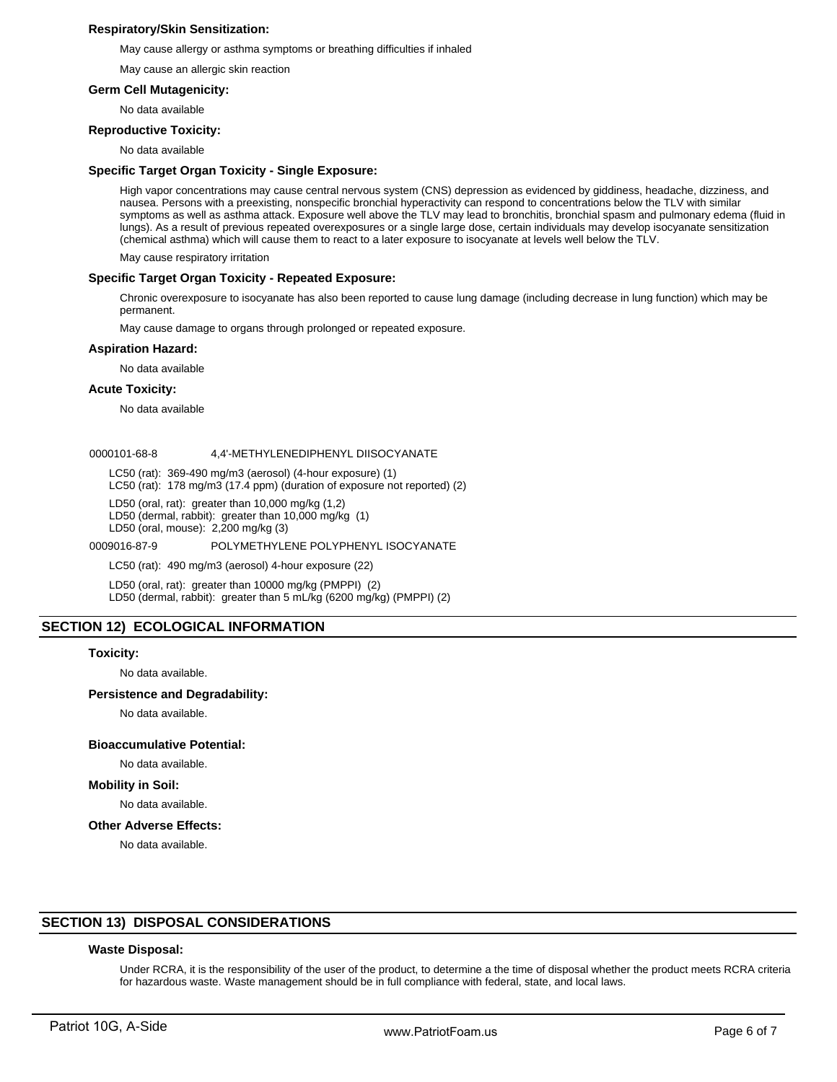# **Respiratory/Skin Sensitization:**

May cause allergy or asthma symptoms or breathing difficulties if inhaled

May cause an allergic skin reaction

# **Germ Cell Mutagenicity:**

No data available

### **Reproductive Toxicity:**

No data available

### **Specific Target Organ Toxicity - Single Exposure:**

High vapor concentrations may cause central nervous system (CNS) depression as evidenced by giddiness, headache, dizziness, and nausea. Persons with a preexisting, nonspecific bronchial hyperactivity can respond to concentrations below the TLV with similar symptoms as well as asthma attack. Exposure well above the TLV may lead to bronchitis, bronchial spasm and pulmonary edema (fluid in lungs). As a result of previous repeated overexposures or a single large dose, certain individuals may develop isocyanate sensitization (chemical asthma) which will cause them to react to a later exposure to isocyanate at levels well below the TLV.

May cause respiratory irritation

### **Specific Target Organ Toxicity - Repeated Exposure:**

Chronic overexposure to isocyanate has also been reported to cause lung damage (including decrease in lung function) which may be permanent.

May cause damage to organs through prolonged or repeated exposure.

### **Aspiration Hazard:**

No data available

### **Acute Toxicity:**

No data available

### 0000101-68-8 4,4'-METHYLENEDIPHENYL DIISOCYANATE

LC50 (rat): 369-490 mg/m3 (aerosol) (4-hour exposure) (1)

LC50 (rat): 178 mg/m3 (17.4 ppm) (duration of exposure not reported) (2)

LD50 (oral, rat): greater than 10,000 mg/kg (1,2)

LD50 (dermal, rabbit): greater than 10,000 mg/kg (1)

LD50 (oral, mouse): 2,200 mg/kg (3)

0009016-87-9 POLYMETHYLENE POLYPHENYL ISOCYANATE

LC50 (rat): 490 mg/m3 (aerosol) 4-hour exposure (22)

LD50 (oral, rat): greater than 10000 mg/kg (PMPPI) (2) LD50 (dermal, rabbit): greater than 5 mL/kg (6200 mg/kg) (PMPPI) (2)

# **SECTION 12) ECOLOGICAL INFORMATION**

### **Toxicity:**

No data available.

### **Persistence and Degradability:**

No data available.

### **Bioaccumulative Potential:**

# No data available.

**Mobility in Soil:**

No data available.

# **Other Adverse Effects:**

No data available.

# **SECTION 13) DISPOSAL CONSIDERATIONS**

### **Waste Disposal:**

Under RCRA, it is the responsibility of the user of the product, to determine a the time of disposal whether the product meets RCRA criteria for hazardous waste. Waste management should be in full compliance with federal, state, and local laws.